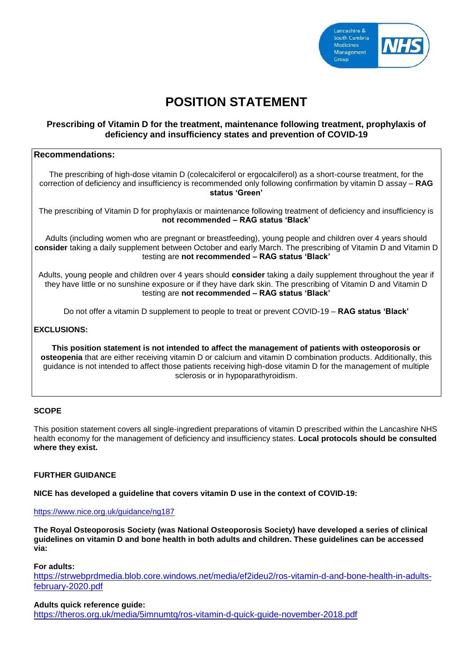

# **POSITION STATEMENT**

## **Prescribing of Vitamin D for the treatment, maintenance following treatment, prophylaxis of deficiency and insufficiency states and prevention of COVID-19**

## **Recommendations:**

The prescribing of high-dose vitamin D (colecalciferol or ergocalciferol) as a short-course treatment, for the correction of deficiency and insufficiency is recommended only following confirmation by vitamin D assay – **RAG status 'Green'**

The prescribing of Vitamin D for prophylaxis or maintenance following treatment of deficiency and insufficiency is **not recommended – RAG status 'Black'**

Adults (including women who are pregnant or breastfeeding), young people and children over 4 years should **consider** taking a daily supplement between October and early March. The prescribing of Vitamin D and Vitamin D testing are **not recommended – RAG status 'Black'**

Adults, young people and children over 4 years should **consider** taking a daily supplement throughout the year if they have little or no sunshine exposure or if they have dark skin. The prescribing of Vitamin D and Vitamin D testing are **not recommended – RAG status 'Black'**

Do not offer a vitamin D supplement to people to treat or prevent COVID-19 – **RAG status 'Black'**

## **EXCLUSIONS:**

**This position statement is not intended to affect the management of patients with osteoporosis or osteopenia** that are either receiving vitamin D or calcium and vitamin D combination products. Additionally, this guidance is not intended to affect those patients receiving high-dose vitamin D for the management of multiple sclerosis or in hypoparathyroidism.

#### **SCOPE**

This position statement covers all single-ingredient preparations of vitamin D prescribed within the Lancashire NHS health economy for the management of deficiency and insufficiency states. **Local protocols should be consulted where they exist.**

#### **FURTHER GUIDANCE**

**NICE has developed a guideline that covers vitamin D use in the context of COVID**‑**19:**

#### <https://www.nice.org.uk/guidance/ng187>

**The Royal Osteoporosis Society (was National Osteoporosis Society) have developed a series of clinical guidelines on vitamin D and bone health in both adults and children. These guidelines can be accessed via:** 

#### **For adults:**

[https://strwebprdmedia.blob.core.windows.net/media/ef2ideu2/ros-vitamin-d-and-bone-health-in-adults](https://strwebprdmedia.blob.core.windows.net/media/ef2ideu2/ros-vitamin-d-and-bone-health-in-adults-february-2020.pdf)[february-2020.pdf](https://strwebprdmedia.blob.core.windows.net/media/ef2ideu2/ros-vitamin-d-and-bone-health-in-adults-february-2020.pdf)

#### **Adults quick reference guide:**

<https://theros.org.uk/media/5imnumtq/ros-vitamin-d-quick-guide-november-2018.pdf>